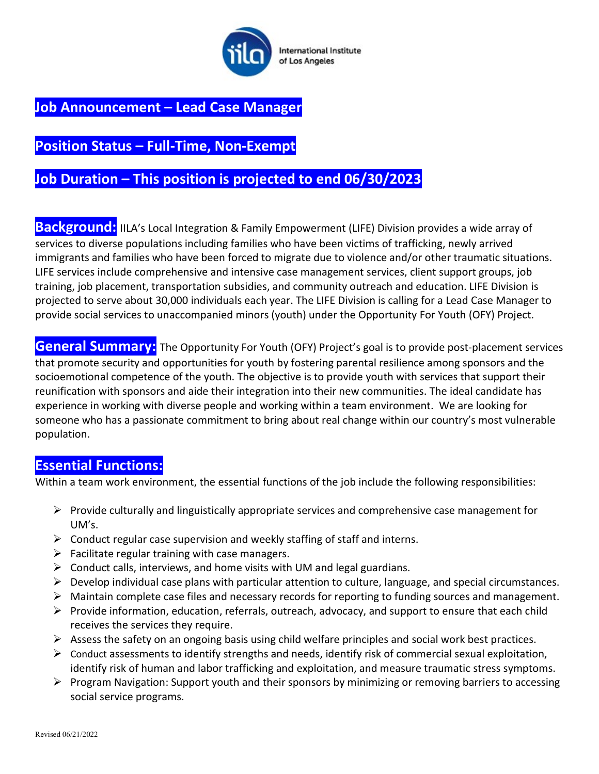

### Job Announcement – Lead Case Manager

# Position Status – Full-Time, Non-Exempt

## Job Duration – This position is projected to end 06/30/2023

Background: IILA's Local Integration & Family Empowerment (LIFE) Division provides a wide array of services to diverse populations including families who have been victims of trafficking, newly arrived immigrants and families who have been forced to migrate due to violence and/or other traumatic situations. LIFE services include comprehensive and intensive case management services, client support groups, job training, job placement, transportation subsidies, and community outreach and education. LIFE Division is projected to serve about 30,000 individuals each year. The LIFE Division is calling for a Lead Case Manager to provide social services to unaccompanied minors (youth) under the Opportunity For Youth (OFY) Project.

General Summary: The Opportunity For Youth (OFY) Project's goal is to provide post-placement services that promote security and opportunities for youth by fostering parental resilience among sponsors and the socioemotional competence of the youth. The objective is to provide youth with services that support their reunification with sponsors and aide their integration into their new communities. The ideal candidate has experience in working with diverse people and working within a team environment. We are looking for someone who has a passionate commitment to bring about real change within our country's most vulnerable population.

#### Essential Functions:

Within a team work environment, the essential functions of the job include the following responsibilities:

- $\triangleright$  Provide culturally and linguistically appropriate services and comprehensive case management for UM's.
- $\triangleright$  Conduct regular case supervision and weekly staffing of staff and interns.
- $\triangleright$  Facilitate regular training with case managers.
- $\triangleright$  Conduct calls, interviews, and home visits with UM and legal guardians.
- $\triangleright$  Develop individual case plans with particular attention to culture, language, and special circumstances.
- $\triangleright$  Maintain complete case files and necessary records for reporting to funding sources and management.
- $\triangleright$  Provide information, education, referrals, outreach, advocacy, and support to ensure that each child receives the services they require.
- $\triangleright$  Assess the safety on an ongoing basis using child welfare principles and social work best practices.
- $\triangleright$  Conduct assessments to identify strengths and needs, identify risk of commercial sexual exploitation, identify risk of human and labor trafficking and exploitation, and measure traumatic stress symptoms.
- $\triangleright$  Program Navigation: Support youth and their sponsors by minimizing or removing barriers to accessing social service programs.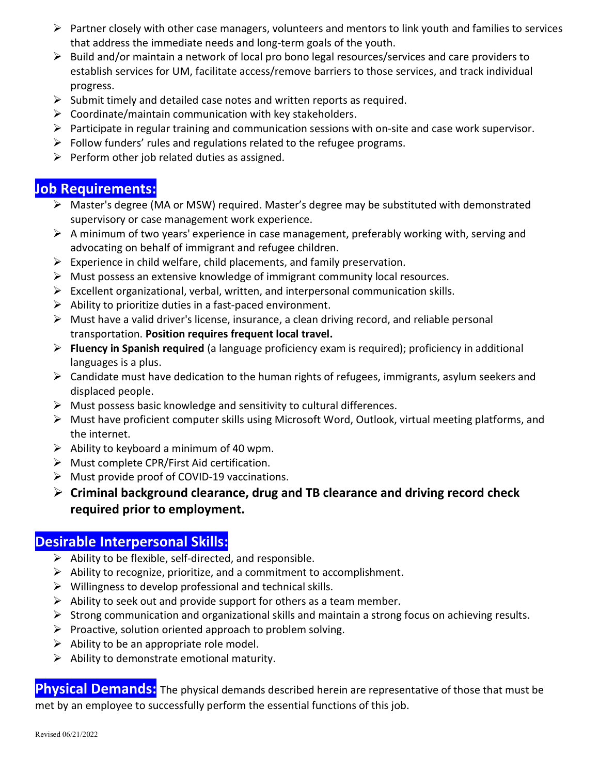- $\triangleright$  Partner closely with other case managers, volunteers and mentors to link youth and families to services that address the immediate needs and long-term goals of the youth.
- $\triangleright$  Build and/or maintain a network of local pro bono legal resources/services and care providers to establish services for UM, facilitate access/remove barriers to those services, and track individual progress.
- $\triangleright$  Submit timely and detailed case notes and written reports as required.
- $\triangleright$  Coordinate/maintain communication with key stakeholders.
- $\triangleright$  Participate in regular training and communication sessions with on-site and case work supervisor.
- $\triangleright$  Follow funders' rules and regulations related to the refugee programs.
- $\triangleright$  Perform other job related duties as assigned.

### Job Requirements:

- Master's degree (MA or MSW) required. Master's degree may be substituted with demonstrated supervisory or case management work experience.
- $\triangleright$  A minimum of two years' experience in case management, preferably working with, serving and advocating on behalf of immigrant and refugee children.
- $\triangleright$  Experience in child welfare, child placements, and family preservation.
- $\triangleright$  Must possess an extensive knowledge of immigrant community local resources.
- $\triangleright$  Excellent organizational, verbal, written, and interpersonal communication skills.
- $\triangleright$  Ability to prioritize duties in a fast-paced environment.
- Must have a valid driver's license, insurance, a clean driving record, and reliable personal transportation. Position requires frequent local travel.
- $\triangleright$  Fluency in Spanish required (a language proficiency exam is required); proficiency in additional languages is a plus.
- $\triangleright$  Candidate must have dedication to the human rights of refugees, immigrants, asylum seekers and displaced people.
- $\triangleright$  Must possess basic knowledge and sensitivity to cultural differences.
- $\triangleright$  Must have proficient computer skills using Microsoft Word, Outlook, virtual meeting platforms, and the internet.
- $\triangleright$  Ability to keyboard a minimum of 40 wpm.
- $\triangleright$  Must complete CPR/First Aid certification.
- $\triangleright$  Must provide proof of COVID-19 vaccinations.
- $\triangleright$  Criminal background clearance, drug and TB clearance and driving record check required prior to employment.

#### Desirable Interpersonal Skills::

- $\triangleright$  Ability to be flexible, self-directed, and responsible.
- $\triangleright$  Ability to recognize, prioritize, and a commitment to accomplishment.
- $\triangleright$  Willingness to develop professional and technical skills.
- $\triangleright$  Ability to seek out and provide support for others as a team member.
- $\triangleright$  Strong communication and organizational skills and maintain a strong focus on achieving results.
- $\triangleright$  Proactive, solution oriented approach to problem solving.
- $\triangleright$  Ability to be an appropriate role model.
- $\triangleright$  Ability to demonstrate emotional maturity.

Physical Demands: The physical demands described herein are representative of those that must be met by an employee to successfully perform the essential functions of this job.